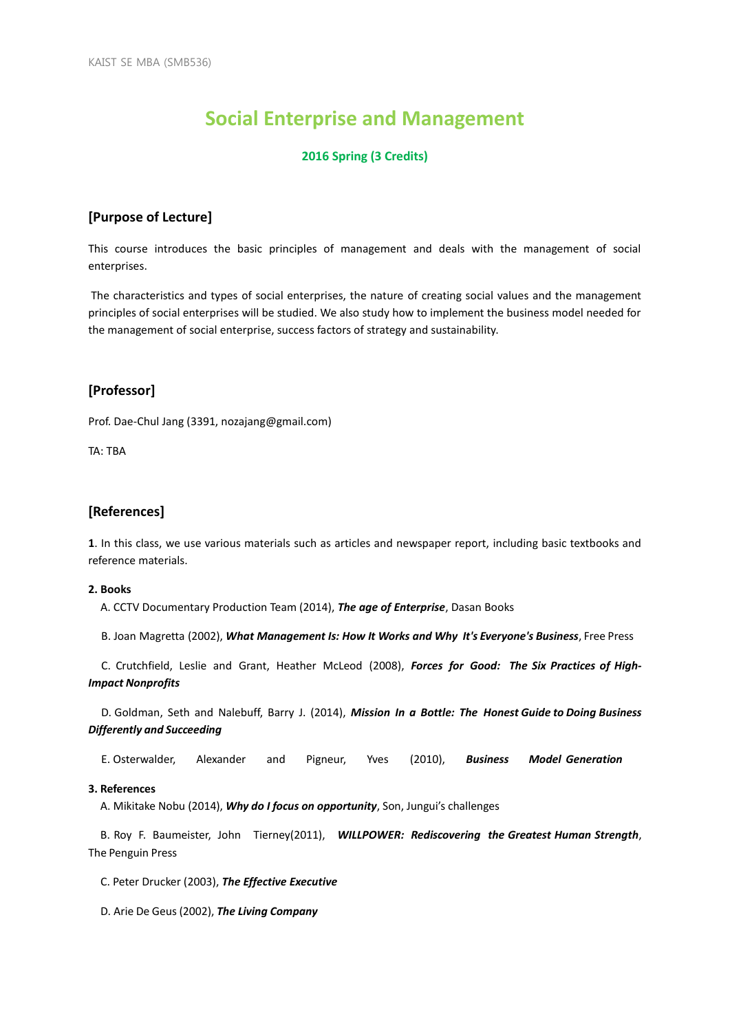# **Social Enterprise and Management**

## **2016 Spring (3 Credits)**

# **[Purpose of Lecture]**

This course introduces the basic principles of management and deals with the management of social enterprises.

The characteristics and types of social enterprises, the nature of creating social values and the management principles of social enterprises will be studied. We also study how to implement the business model needed for the management of social enterprise, success factors of strategy and sustainability.

# **[Professor]**

Prof. Dae-Chul Jang (3391, nozajang@gmail.com)

TA: TBA

# **[References]**

**1**. In this class, we use various materials such as articles and newspaper report, including basic textbooks and reference materials.

#### **2. Books**

A. CCTV Documentary Production Team (2014), *The age of Enterprise*, Dasan Books

B. Joan Magretta (2002), *What Management Is: How It Works and Why It's Everyone's Business*, Free Press

C. Crutchfield, Leslie and Grant, Heather McLeod (2008), *Forces for Good: The Six Practices of High-Impact Nonprofits*

D. Goldman, Seth and Nalebuff, Barry J. (2014), *Mission In a Bottle: The Honest Guide to Doing Business Differently and Succeeding*

E. Osterwalder, Alexander and Pigneur, Yves (2010), *Business Model Generation*

#### **3. References**

A. Mikitake Nobu (2014), *Why do I focus on opportunity*, Son, Jungui's challenges

B. Roy F. Baumeister, John Tierney(2011), *WILLPOWER: Rediscovering the Greatest Human Strength*, The Penguin Press

C. Peter Drucker (2003), *The Effective Executive*

D. Arie De Geus (2002), *The Living Company*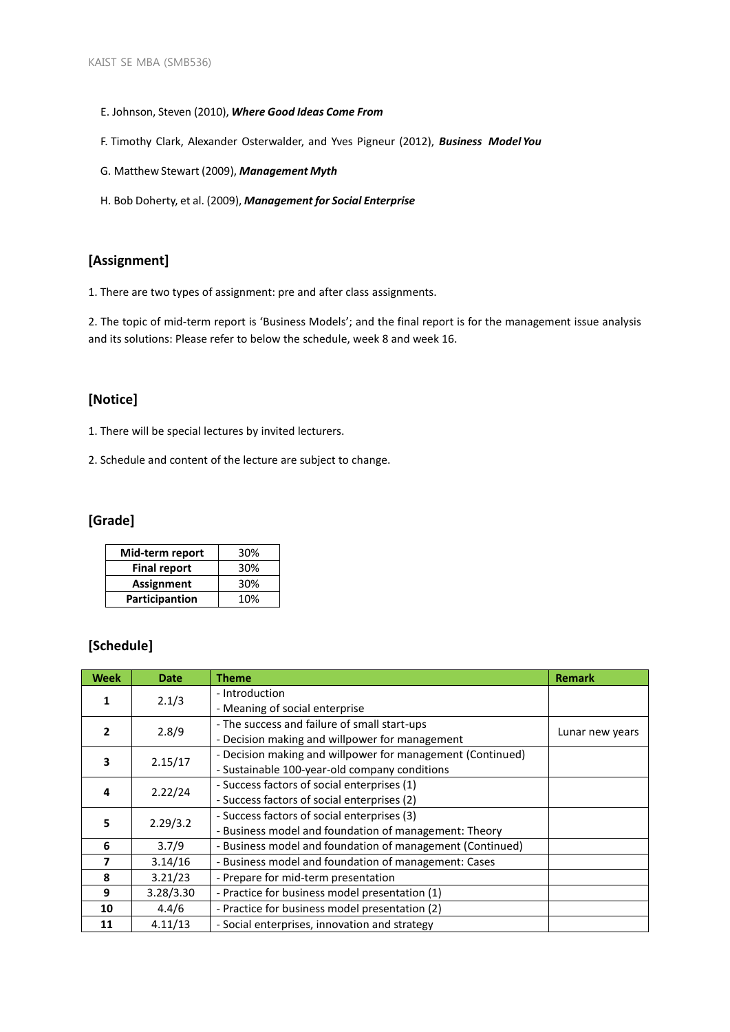- E. Johnson, Steven (2010), *Where Good Ideas Come From*
- F. Timothy Clark, Alexander Osterwalder, and Yves Pigneur (2012), *Business Model You*
- G. Matthew Stewart (2009), *Management Myth*
- H. Bob Doherty, et al. (2009), *Management for Social Enterprise*

# **[Assignment]**

1. There are two types of assignment: pre and after class assignments.

2. The topic of mid-term report is 'Business Models'; and the final report is for the management issue analysis and its solutions: Please refer to below the schedule, week 8 and week 16.

# **[Notice]**

1. There will be special lectures by invited lecturers.

2. Schedule and content of the lecture are subject to change.

# **[Grade]**

| Mid-term report     | 30% |
|---------------------|-----|
| <b>Final report</b> | 30% |
| <b>Assignment</b>   | 30% |
| Participantion      | 10% |

# **[Schedule]**

| <b>Week</b> | <b>Date</b> | <b>Theme</b>                                               | <b>Remark</b>   |
|-------------|-------------|------------------------------------------------------------|-----------------|
|             | 2.1/3       | - Introduction                                             |                 |
|             |             | - Meaning of social enterprise                             |                 |
| 2           | 2.8/9       | - The success and failure of small start-ups               | Lunar new years |
|             |             | - Decision making and willpower for management             |                 |
| 3           | 2.15/17     | - Decision making and willpower for management (Continued) |                 |
|             |             | - Sustainable 100-year-old company conditions              |                 |
| 4           | 2.22/24     | - Success factors of social enterprises (1)                |                 |
|             |             | - Success factors of social enterprises (2)                |                 |
| 5           | 2.29/3.2    | - Success factors of social enterprises (3)                |                 |
|             |             | - Business model and foundation of management: Theory      |                 |
| 6           | 3.7/9       | - Business model and foundation of management (Continued)  |                 |
| 7           | 3.14/16     | - Business model and foundation of management: Cases       |                 |
| 8           | 3.21/23     | - Prepare for mid-term presentation                        |                 |
| 9           | 3.28/3.30   | - Practice for business model presentation (1)             |                 |
| 10          | 4.4/6       | - Practice for business model presentation (2)             |                 |
| 11          | 4.11/13     | - Social enterprises, innovation and strategy              |                 |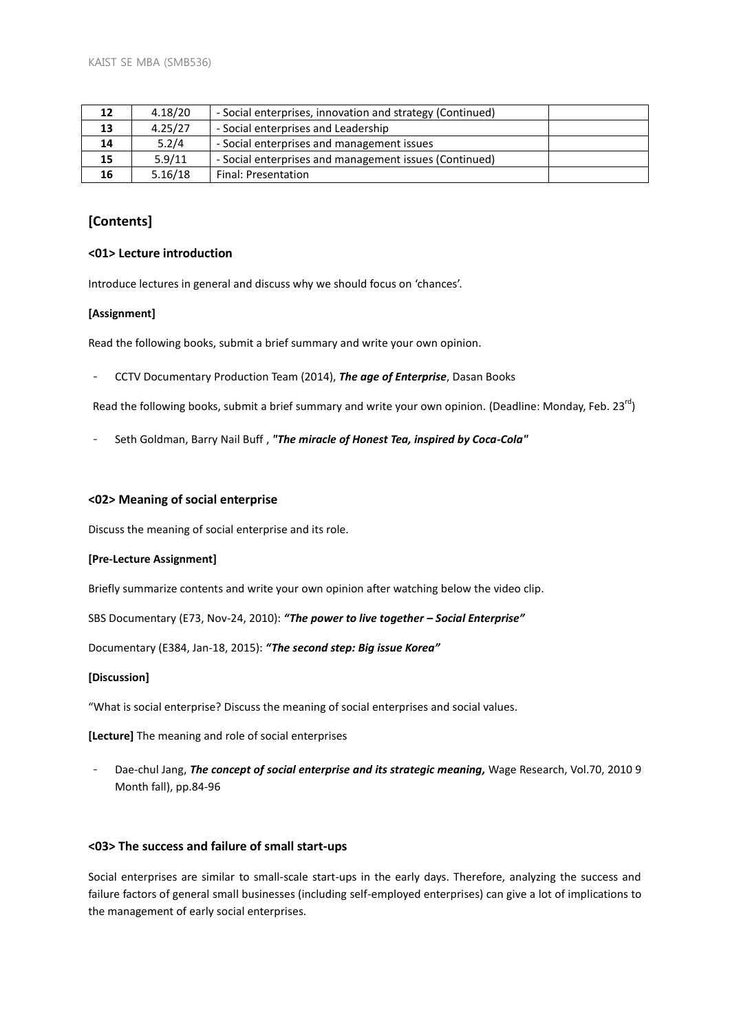| 12 | 4.18/20 | - Social enterprises, innovation and strategy (Continued) |  |
|----|---------|-----------------------------------------------------------|--|
| 13 | 4.25/27 | - Social enterprises and Leadership                       |  |
| 14 | 5.2/4   | - Social enterprises and management issues                |  |
| 15 | 5.9/11  | - Social enterprises and management issues (Continued)    |  |
| 16 | 5.16/18 | Final: Presentation                                       |  |

# **[Contents]**

#### **<01> Lecture introduction**

Introduce lectures in general and discuss why we should focus on 'chances'.

## **[Assignment]**

Read the following books, submit a brief summary and write your own opinion.

- CCTV Documentary Production Team (2014), *The age of Enterprise*, Dasan Books

Read the following books, submit a brief summary and write your own opinion. (Deadline: Monday, Feb. 23<sup>rd</sup>)

- Seth Goldman, Barry Nail Buff , *"The miracle of Honest Tea, inspired by Coca-Cola"*

#### **<02> Meaning of social enterprise**

Discuss the meaning of social enterprise and its role.

#### **[Pre-Lecture Assignment]**

Briefly summarize contents and write your own opinion after watching below the video clip.

SBS Documentary (E73, Nov-24, 2010): *"The power to live together – Social Enterprise"*

Documentary (E384, Jan-18, 2015): *"The second step: Big issue Korea"*

#### **[Discussion]**

"What is social enterprise? Discuss the meaning of social enterprises and social values.

**[Lecture]** The meaning and role of social enterprises

- Dae-chul Jang, *The concept of social enterprise and its strategic meaning,* Wage Research, Vol.70, 2010 9 Month fall), pp.84-96

## **<03> The success and failure of small start-ups**

Social enterprises are similar to small-scale start-ups in the early days. Therefore, analyzing the success and failure factors of general small businesses (including self-employed enterprises) can give a lot of implications to the management of early social enterprises.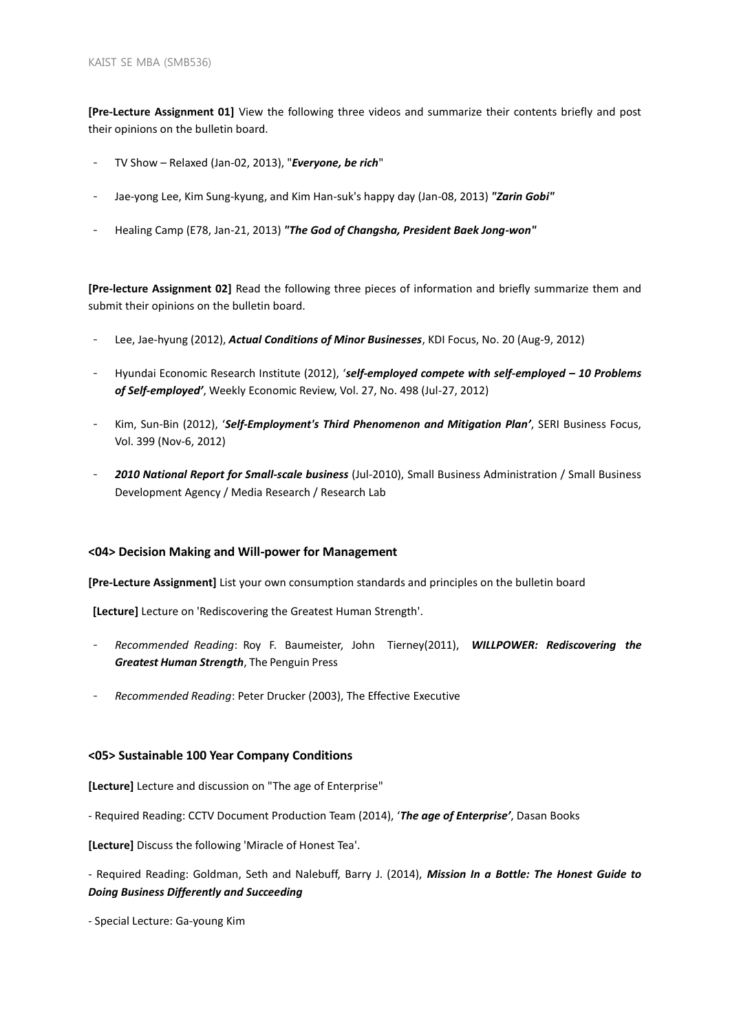**[Pre-Lecture Assignment 01]** View the following three videos and summarize their contents briefly and post their opinions on the bulletin board.

- TV Show Relaxed (Jan-02, 2013), "*Everyone, be rich*"
- Jae-yong Lee, Kim Sung-kyung, and Kim Han-suk's happy day (Jan-08, 2013) *"Zarin Gobi"*
- Healing Camp (E78, Jan-21, 2013) *"The God of Changsha, President Baek Jong-won"*

**[Pre-lecture Assignment 02]** Read the following three pieces of information and briefly summarize them and submit their opinions on the bulletin board.

- Lee, Jae-hyung (2012), *Actual Conditions of Minor Businesses*, KDI Focus, No. 20 (Aug-9, 2012)
- Hyundai Economic Research Institute (2012), '*self-employed compete with self-employed – 10 Problems of Self-employed'*, Weekly Economic Review, Vol. 27, No. 498 (Jul-27, 2012)
- Kim, Sun-Bin (2012), '*Self-Employment's Third Phenomenon and Mitigation Plan'*, SERI Business Focus, Vol. 399 (Nov-6, 2012)
- 2010 National Report for Small-scale business (Jul-2010), Small Business Administration / Small Business Development Agency / Media Research / Research Lab

## **<04> Decision Making and Will-power for Management**

**[Pre-Lecture Assignment]** List your own consumption standards and principles on the bulletin board

**[Lecture]** Lecture on 'Rediscovering the Greatest Human Strength'.

- *Recommended Reading*: Roy F. Baumeister, John Tierney(2011), *WILLPOWER: Rediscovering the Greatest Human Strength*, The Penguin Press
- *Recommended Reading*: Peter Drucker (2003), The Effective Executive

## **<05> Sustainable 100 Year Company Conditions**

**[Lecture]** Lecture and discussion on "The age of Enterprise"

- Required Reading: CCTV Document Production Team (2014), '*The age of Enterprise'*, Dasan Books

**[Lecture]** Discuss the following 'Miracle of Honest Tea'.

- Required Reading: Goldman, Seth and Nalebuff, Barry J. (2014), *Mission In a Bottle: The Honest Guide to Doing Business Differently and Succeeding*

- Special Lecture: Ga-young Kim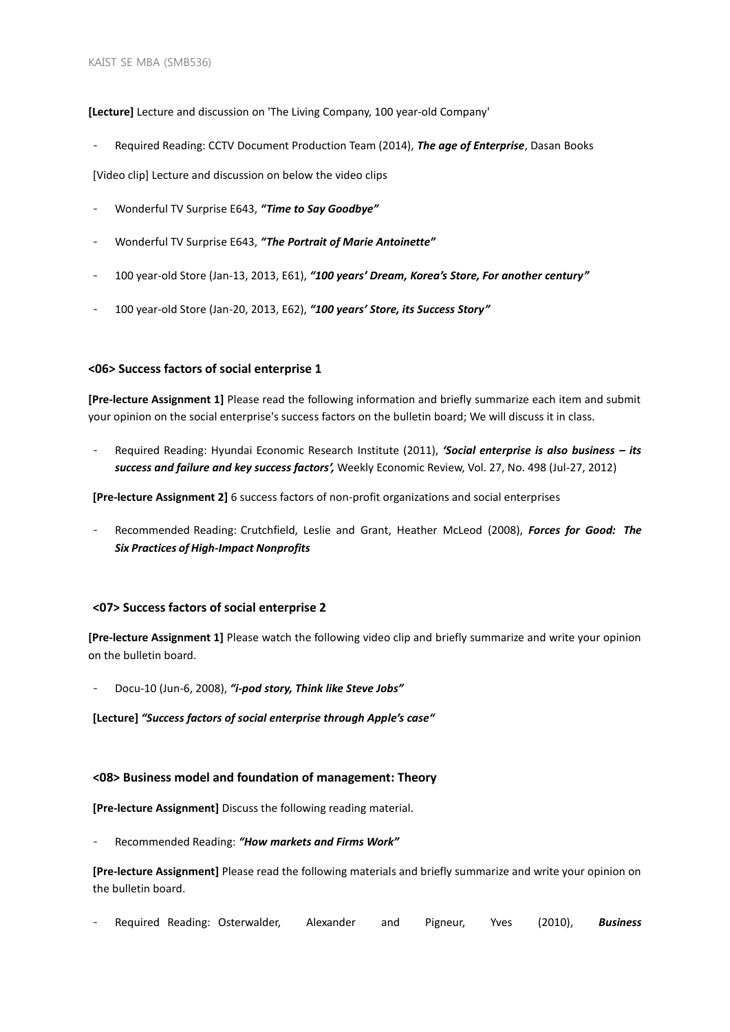## **[Lecture]** Lecture and discussion on 'The Living Company, 100 year-old Company'

- Required Reading: CCTV Document Production Team (2014), *The age of Enterprise*, Dasan Books

[Video clip] Lecture and discussion on below the video clips

- Wonderful TV Surprise E643, *"Time to Say Goodbye"*
- Wonderful TV Surprise E643, *"The Portrait of Marie Antoinette"*
- 100 year-old Store (Jan-13, 2013, E61), *"100 years' Dream, Korea's Store, For another century"*
- 100 year-old Store (Jan-20, 2013, E62), *"100 years' Store, its Success Story"*

## **<06> Success factors of social enterprise 1**

**[Pre-lecture Assignment 1]** Please read the following information and briefly summarize each item and submit your opinion on the social enterprise's success factors on the bulletin board; We will discuss it in class.

- Required Reading: Hyundai Economic Research Institute (2011), *'Social enterprise is also business – its success and failure and key success factors',* Weekly Economic Review, Vol. 27, No. 498 (Jul-27, 2012)

**[Pre-lecture Assignment 2]** 6 success factors of non-profit organizations and social enterprises

- Recommended Reading: Crutchfield, Leslie and Grant, Heather McLeod (2008), *Forces for Good: The Six Practices of High-Impact Nonprofits*

#### **<07> Success factors of social enterprise 2**

**[Pre-lecture Assignment 1]** Please watch the following video clip and briefly summarize and write your opinion on the bulletin board.

- Docu-10 (Jun-6, 2008), *"i-pod story, Think like Steve Jobs"*

**[Lecture]** *"Success factors of social enterprise through Apple's case"*

#### **<08> Business model and foundation of management: Theory**

**[Pre-lecture Assignment]** Discuss the following reading material.

- Recommended Reading: *"How markets and Firms Work"*

**[Pre-lecture Assignment]** Please read the following materials and briefly summarize and write your opinion on the bulletin board.

- Required Reading: Osterwalder, Alexander and Pigneur, Yves (2010), *Business*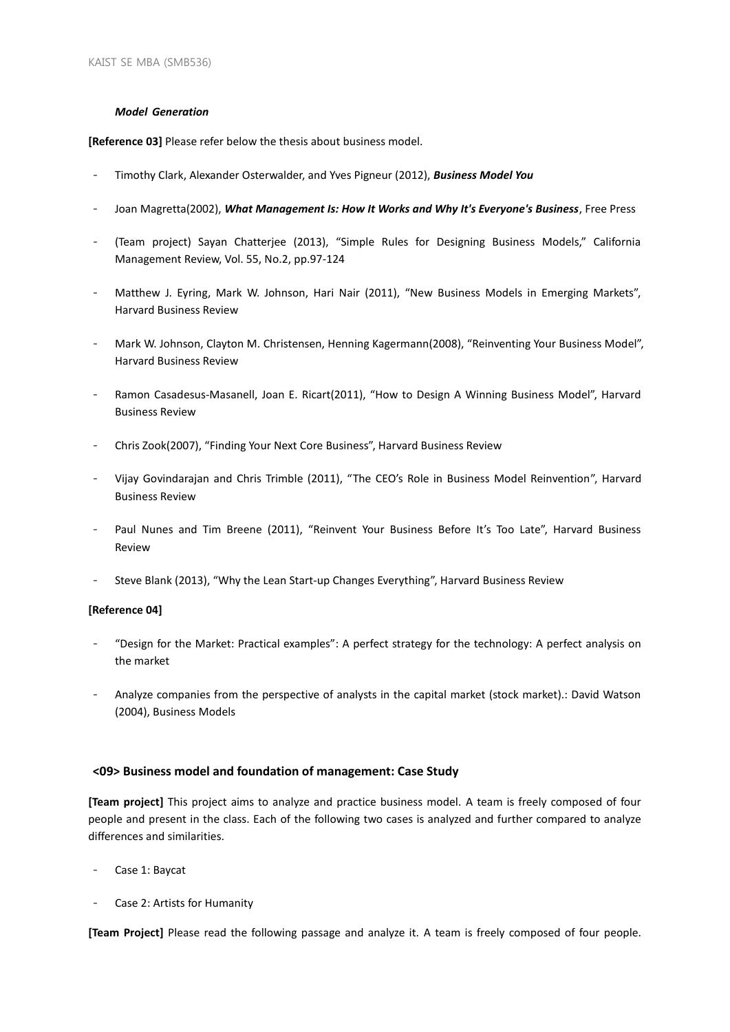#### *Model Generation*

**[Reference 03]** Please refer below the thesis about business model.

- Timothy Clark, Alexander Osterwalder, and Yves Pigneur (2012), *Business Model You*
- Joan Magretta(2002), *What Management Is: How It Works and Why It's Everyone's Business*, Free Press
- (Team project) Sayan Chatterjee (2013), "Simple Rules for Designing Business Models," California Management Review, Vol. 55, No.2, pp.97-124
- Matthew J. Eyring, Mark W. Johnson, Hari Nair (2011), "New Business Models in Emerging Markets", Harvard Business Review
- Mark W. Johnson, Clayton M. Christensen, Henning Kagermann(2008), "Reinventing Your Business Model", Harvard Business Review
- Ramon Casadesus-Masanell, Joan E. Ricart(2011), "How to Design A Winning Business Model", Harvard Business Review
- Chris Zook(2007), "Finding Your Next Core Business", Harvard Business Review
- Vijay Govindarajan and Chris Trimble (2011), "The CEO's Role in Business Model Reinvention", Harvard Business Review
- Paul Nunes and Tim Breene (2011), "Reinvent Your Business Before It's Too Late", Harvard Business Review
- Steve Blank (2013), "Why the Lean Start-up Changes Everything", Harvard Business Review

## **[Reference 04]**

- "Design for the Market: Practical examples": A perfect strategy for the technology: A perfect analysis on the market
- Analyze companies from the perspective of analysts in the capital market (stock market).: David Watson (2004), Business Models

## **<09> Business model and foundation of management: Case Study**

**[Team project]** This project aims to analyze and practice business model. A team is freely composed of four people and present in the class. Each of the following two cases is analyzed and further compared to analyze differences and similarities.

- Case 1: Baycat
- Case 2: Artists for Humanity

**[Team Project]** Please read the following passage and analyze it. A team is freely composed of four people.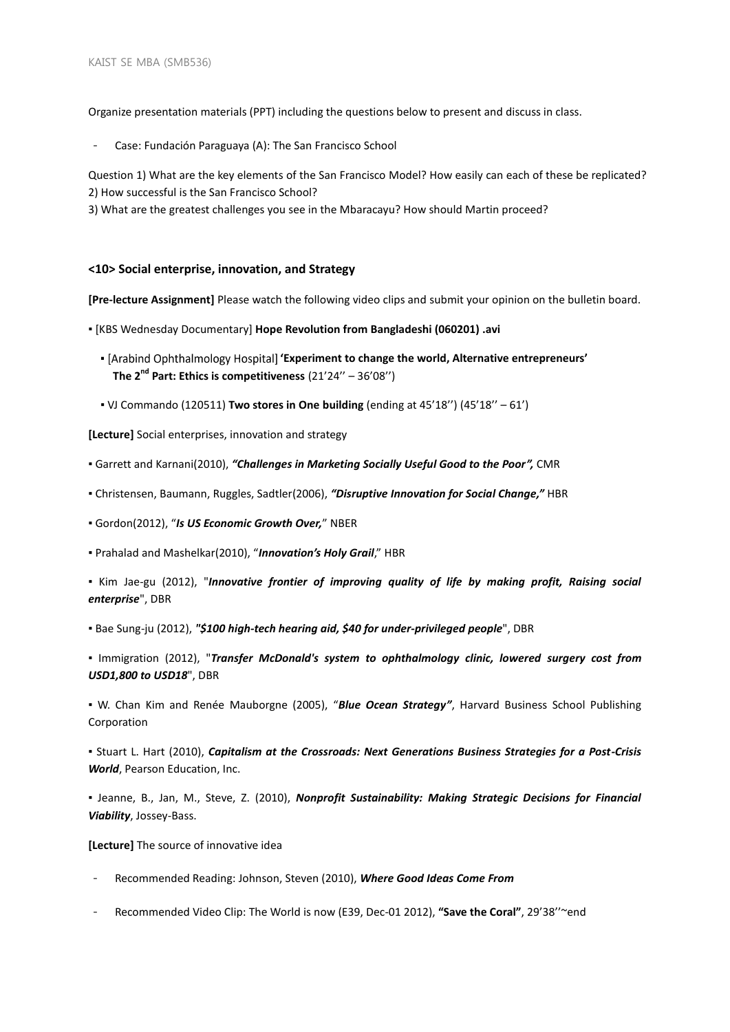Organize presentation materials (PPT) including the questions below to present and discuss in class.

Case: Fundación Paraguaya (A): The San Francisco School

Question 1) What are the key elements of the San Francisco Model? How easily can each of these be replicated? 2) How successful is the San Francisco School?

3) What are the greatest challenges you see in the Mbaracayu? How should Martin proceed?

#### **<10> Social enterprise, innovation, and Strategy**

**[Pre-lecture Assignment]** Please watch the following video clips and submit your opinion on the bulletin board.

▪ [KBS Wednesday Documentary] **Hope Revolution from Bangladeshi (060201) .avi**

- **'Experiment to change the world, Alternative entrepreneurs' The 2nd Part: Ethics is competitiveness** (21'24'' – 36'08'')
- VJ Commando (120511) **Two stores in One building** (ending at 45'18'') (45'18'' 61')

**[Lecture]** Social enterprises, innovation and strategy

▪ Garrett and Karnani(2010), *"Challenges in Marketing Socially Useful Good to the Poor",* CMR

- Christensen, Baumann, Ruggles, Sadtler(2006), *"Disruptive Innovation for Social Change,"* HBR
- Gordon(2012), "*Is US Economic Growth Over,*" NBER

▪ Prahalad and Mashelkar(2010), "*Innovation's Holy Grail*," HBR

▪ Kim Jae-gu (2012), "*Innovative frontier of improving quality of life by making profit, Raising social enterprise*", DBR

▪ Bae Sung-ju (2012), *"\$100 high-tech hearing aid, \$40 for under-privileged people*", DBR

▪ Immigration (2012), "*Transfer McDonald's system to ophthalmology clinic, lowered surgery cost from USD1,800 to USD18*", DBR

▪ W. Chan Kim and Renée Mauborgne (2005), "*Blue Ocean Strategy"*, Harvard Business School Publishing Corporation

▪ Stuart L. Hart (2010), *Capitalism at the Crossroads: Next Generations Business Strategies for a Post-Crisis World*, Pearson Education, Inc.

▪ Jeanne, B., Jan, M., Steve, Z. (2010), *Nonprofit Sustainability: Making Strategic Decisions for Financial Viability*, Jossey-Bass.

**[Lecture]** The source of innovative idea

- Recommended Reading: Johnson, Steven (2010), *Where Good Ideas Come From*
- Recommended Video Clip: The World is now (E39, Dec-01 2012), **"Save the Coral"**, 29'38''~end